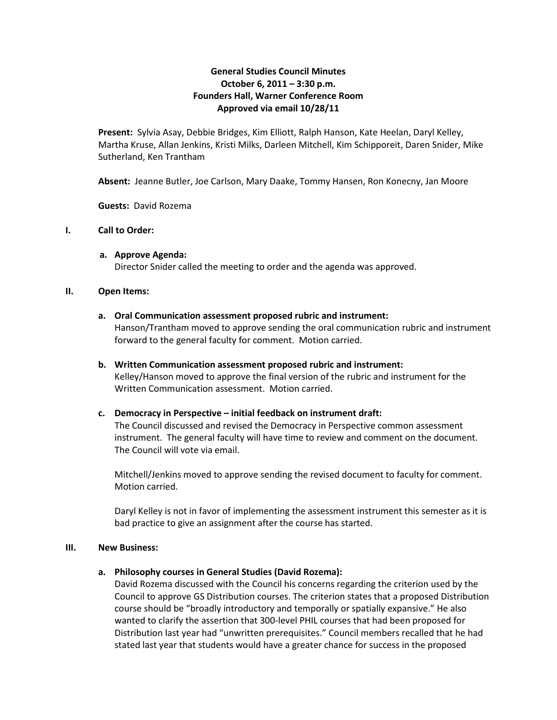# **General Studies Council Minutes October 6, 2011 – 3:30 p.m. Founders Hall, Warner Conference Room Approved via email 10/28/11**

**Present:** Sylvia Asay, Debbie Bridges, Kim Elliott, Ralph Hanson, Kate Heelan, Daryl Kelley, Martha Kruse, Allan Jenkins, Kristi Milks, Darleen Mitchell, Kim Schipporeit, Daren Snider, Mike Sutherland, Ken Trantham

**Absent:** Jeanne Butler, Joe Carlson, Mary Daake, Tommy Hansen, Ron Konecny, Jan Moore

**Guests:** David Rozema

## **I. Call to Order:**

**a. Approve Agenda:** Director Snider called the meeting to order and the agenda was approved.

#### **II. Open Items:**

**a. Oral Communication assessment proposed rubric and instrument:**

Hanson/Trantham moved to approve sending the oral communication rubric and instrument forward to the general faculty for comment. Motion carried.

**b. Written Communication assessment proposed rubric and instrument:** Kelley/Hanson moved to approve the final version of the rubric and instrument for the Written Communication assessment. Motion carried.

## **c. Democracy in Perspective – initial feedback on instrument draft:**

The Council discussed and revised the Democracy in Perspective common assessment instrument. The general faculty will have time to review and comment on the document. The Council will vote via email.

Mitchell/Jenkins moved to approve sending the revised document to faculty for comment. Motion carried.

Daryl Kelley is not in favor of implementing the assessment instrument this semester as it is bad practice to give an assignment after the course has started.

#### **III. New Business:**

## **a. Philosophy courses in General Studies (David Rozema):**

David Rozema discussed with the Council his concerns regarding the criterion used by the Council to approve GS Distribution courses. The criterion states that a proposed Distribution course should be "broadly introductory and temporally or spatially expansive." He also wanted to clarify the assertion that 300-level PHIL courses that had been proposed for Distribution last year had "unwritten prerequisites." Council members recalled that he had stated last year that students would have a greater chance for success in the proposed